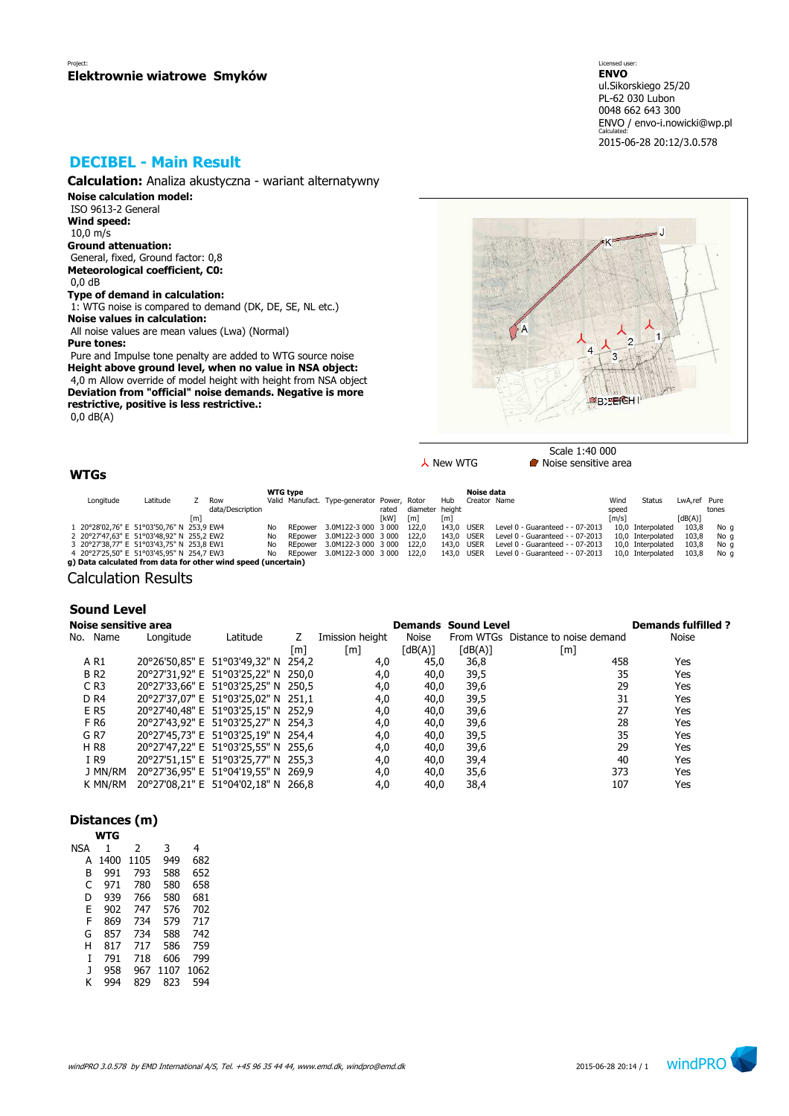# **DECIBEL - Main Result**

**Calculation:** Analiza akustyczna - wariant alternatywny

**Noise calculation model:**

 ISO 9613-2 General **Wind speed:** 10,0 m/s **Ground attenuation:** General, fixed, Ground factor: 0,8 **Meteorological coefficient, C0:** 0,0 dB

# **Type of demand in calculation:**

 1: WTG noise is compared to demand (DK, DE, SE, NL etc.) **Noise values in calculation:**

 All noise values are mean values (Lwa) (Normal) **Pure tones:**

 Pure and Impulse tone penalty are added to WTG source noise **Height above ground level, when no value in NSA object:** 4,0 m Allow override of model height with height from NSA object **Deviation from "official" noise demands. Negative is more restrictive, positive is less restrictive.:** 0,0 dB(A)



 $\lambda$  New WTG **Noise** sensitive area

# **WTGs**

| <b>WTG</b> type                                             |                                                               |  |                  |     |         |                                             |       |                 |            | Noise data   |                                  |       |                   |              |       |
|-------------------------------------------------------------|---------------------------------------------------------------|--|------------------|-----|---------|---------------------------------------------|-------|-----------------|------------|--------------|----------------------------------|-------|-------------------|--------------|-------|
| Longitude                                                   | Latitude                                                      |  | Row              |     |         | Valid Manufact. Type-generator Power, Rotor |       |                 | Hub        | Creator Name |                                  | Wind  | Status            | LwA.ref Pure |       |
|                                                             |                                                               |  | data/Description |     |         |                                             | rated | diameter height |            |              |                                  | speed |                   |              | tones |
| [kW]<br>[dB(A)]<br>[m]<br>$\lceil m/s \rceil$<br>[m]<br>[m] |                                                               |  |                  |     |         |                                             |       |                 |            |              |                                  |       |                   |              |       |
|                                                             | 1 20°28'02,76" E 51°03'50,76" N 253,9 EW4                     |  |                  | No  | REpower | 3.0M122-3 000 3 000                         |       | 122.0           | 143.0 USER |              | Level 0 - Guaranteed - - 07-2013 |       | 10.0 Interpolated | 103.8        | No q  |
|                                                             | 2 20°27'47,63" E 51°03'48,92" N 255,2 EW2                     |  |                  | No. | REpower | 3.0M122-3 000 3 000                         |       | 122.0           | 143.0 USER |              | Level 0 - Guaranteed - - 07-2013 |       | 10.0 Interpolated | 103.8        | No q  |
|                                                             | 3 20°27'38,77" E 51°03'43,75" N 253,8 EW1                     |  |                  | No. | REpower | 3.0M122-3 000 3 000                         |       | 122.0           | 143.0 USER |              | Level 0 - Guaranteed - - 07-2013 |       | 10.0 Interpolated | 103.8        | No q  |
|                                                             | 4 20°27'25,50" E 51°03'45,95" N 254,7 EW3                     |  |                  | No. | REpower | 3.0M122-3 000 3 000                         |       | 122.0           | 143.0 USER |              | Level 0 - Guaranteed - - 07-2013 |       | 10,0 Interpolated | 103.8        | No a  |
|                                                             | g) Data calculated from data for other wind speed (uncertain) |  |                  |     |         |                                             |       |                 |            |              |                                  |       |                   |              |       |

Calculation Results

### **Sound Level**

| Noise sensitive area |           |                                     |     |                 |         | <b>Demands Sound Level</b> |                                    | <b>Demands fulfilled ?</b> |
|----------------------|-----------|-------------------------------------|-----|-----------------|---------|----------------------------|------------------------------------|----------------------------|
| No. Name             | Longitude | Latitude                            |     | Imission height | Noise   |                            | From WTGs Distance to noise demand | <b>Noise</b>               |
|                      |           |                                     | [m] | [m]             | [dB(A)] | $\lceil dB(A) \rceil$      | [m]                                |                            |
| A R1                 |           | 20°26'50,85" E 51°03'49,32" N 254,2 |     | 4,0             | 45,0    | 36,8                       | 458                                | Yes                        |
| <b>BR2</b>           |           | 20°27'31,92" E 51°03'25,22" N 250,0 |     | 4,0             | 40,0    | 39,5                       | 35                                 | Yes                        |
| $C$ R <sub>3</sub>   |           | 20°27'33,66" E 51°03'25,25" N 250,5 |     | 4,0             | 40,0    | 39,6                       | 29                                 | Yes                        |
| D <sub>R4</sub>      |           | 20°27'37,07" E 51°03'25,02" N 251,1 |     | 4,0             | 40,0    | 39,5                       | 31                                 | Yes                        |
| E R5                 |           | 20°27'40,48" E 51°03'25,15" N 252,9 |     | 4,0             | 40,0    | 39,6                       | 27                                 | Yes                        |
| F R6                 |           | 20°27'43,92" E 51°03'25,27" N 254,3 |     | 4,0             | 40,0    | 39,6                       | 28                                 | Yes                        |
| G <sub>R7</sub>      |           | 20°27'45,73" E 51°03'25,19" N 254,4 |     | 4,0             | 40,0    | 39,5                       | 35                                 | Yes                        |
| <b>HR8</b>           |           | 20°27'47,22" E 51°03'25,55" N 255,6 |     | 4,0             | 40,0    | 39,6                       | 29                                 | Yes                        |
| I R9                 |           | 20°27'51,15" E 51°03'25,77" N 255,3 |     | 4,0             | 40,0    | 39,4                       | 40                                 | Yes                        |
| J MN/RM              |           | 20°27'36,95" E 51°04'19,55" N 269,9 |     | 4,0             | 40,0    | 35,6                       | 373                                | Yes                        |
| k mn/rm              |           | 20°27'08,21" E 51°04'02,18" N 266,8 |     | 4,0             | 40,0    | 38,4                       | 107                                | Yes                        |

## **Distances (m)**

| NSA | 1    | $\mathcal{P}$ | 3    | 4    |
|-----|------|---------------|------|------|
| А   | 1400 | 1105          | 949  | 682  |
| B   | 991  | 793           | 588  | 652  |
| C   | 971  | 780           | 580  | 658  |
| D   | 939  | 766           | 580  | 681  |
| F   | 902  | 747           | 576  | 702  |
| F   | 869  | 734           | 579  | 717  |
| G   | 857  | 734           | 588  | 742  |
| н   | 817  | 717           | 586  | 759  |
| T   | 791  | 718           | 606  | 799  |
| J   | 958  | 967           | 1107 | 1062 |
| ĸ   | 994  | 829           | 823  | 594  |
|     |      |               |      |      |

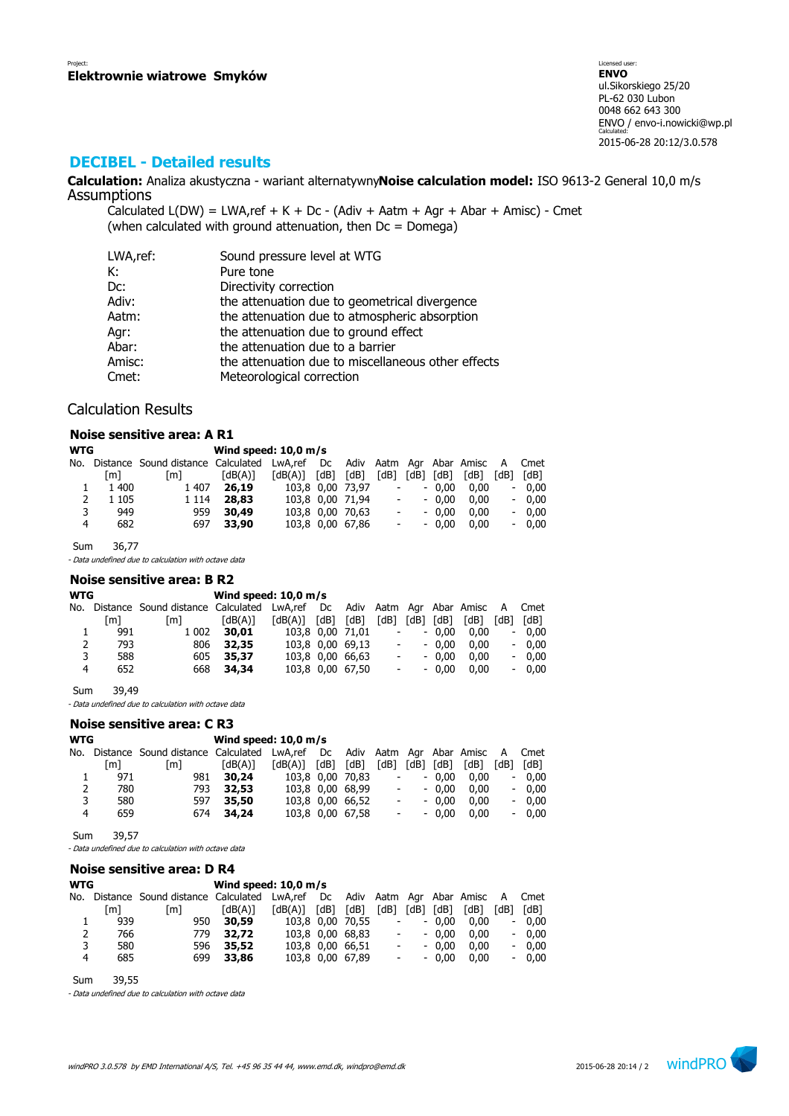# **DECIBEL - Detailed results**

**Calculation:** Analiza akustyczna - wariant alternatywny**Noise calculation model:** ISO 9613-2 General 10,0 m/s Assumptions

Calculated  $L(DW) = LWA$ , ref + K + Dc - (Adiv + Aatm + Agr + Abar + Amisc) - Cmet (when calculated with ground attenuation, then  $Dc = D$ omega)

| LWA,ref: | Sound pressure level at WTG                        |
|----------|----------------------------------------------------|
| К:       | Pure tone                                          |
| Dc:      | Directivity correction                             |
| Adiv:    | the attenuation due to geometrical divergence      |
| Aatm:    | the attenuation due to atmospheric absorption      |
| Agr:     | the attenuation due to ground effect               |
| Abar:    | the attenuation due to a barrier                   |
| Amisc:   | the attenuation due to miscellaneous other effects |
| Cmet:    | Meteorological correction                          |

### Calculation Results

#### **Noise sensitive area: A R1**

| <b>WTG</b> |         |                                                                           | Wind speed: $10,0$ m/s |         |      |                  |                          |      |         |      |                          |         |
|------------|---------|---------------------------------------------------------------------------|------------------------|---------|------|------------------|--------------------------|------|---------|------|--------------------------|---------|
| No.        |         | Distance Sound distance Calculated LwA, ref Dc Adiv Aatm Agr Abar Amisc A |                        |         |      |                  |                          |      |         |      |                          | Cmet    |
|            | [m]     | [m]                                                                       | [dB(A)]                | [dB(A)] | [dB] | [dB]             | 「dB1                     | [dB] | [dB]    | [dB] | [dB]                     | [dB]    |
|            | 1 400   | 1 407                                                                     | 26,19                  |         |      | 103,8 0,00 73,97 | $\overline{\phantom{a}}$ |      | $-0.00$ | 0.00 | $\overline{\phantom{a}}$ | 0.00    |
| 2          | 1 1 0 5 | 1 1 1 4                                                                   | 28,83                  |         |      | 103,8 0,00 71,94 | $\overline{\phantom{a}}$ |      | $-0.00$ | 0.00 |                          | $-0.00$ |
| 3          | 949     | 959                                                                       | 30,49                  |         |      | 103,8 0,00 70,63 | $\overline{\phantom{a}}$ |      | $-0.00$ | 0.00 | $\overline{\phantom{a}}$ | 0.00    |
| 4          | 682     | 697                                                                       | 33,90                  |         |      | 103,8 0,00 67,86 | $\overline{\phantom{a}}$ |      | $-0.00$ | 0.00 | $\overline{\phantom{0}}$ | 0.00    |

Sum 36,77

- Data undefined due to calculation with octave data

#### **Noise sensitive area: B R2**

| WTG |     |                                                                                   | Wind speed: $10.0$ m/s |                         |  |                  |                          |         |      |                          |         |
|-----|-----|-----------------------------------------------------------------------------------|------------------------|-------------------------|--|------------------|--------------------------|---------|------|--------------------------|---------|
|     |     | No. Distance Sound-distance Calculated LwA,ref Dc Adiv Aatm Agr Abar Amisc A Cmet |                        |                         |  |                  |                          |         |      |                          |         |
|     | [m] | [m]                                                                               | [dB(A)]                | $[dB(A)]$ $[dB]$ $[dB]$ |  |                  | $[dB]$ $[dB]$ $[dB]$     |         | [dB] | [dB]                     | [dB]    |
|     | 991 | 1 002                                                                             | 30,01                  |                         |  | 103,8 0,00 71,01 | $\overline{\phantom{a}}$ | $-0.00$ | 0.00 | $\overline{\phantom{0}}$ | 0.00    |
| 2   | 793 | 806                                                                               | 32,35                  |                         |  | 103,8 0,00 69,13 | $\overline{\phantom{a}}$ | $-0.00$ | 0.00 |                          | $-0.00$ |
| 3   | 588 | 605                                                                               | 35,37                  |                         |  | 103,8 0,00 66,63 | $\overline{\phantom{a}}$ | $-0.00$ | 0.00 |                          | $-0.00$ |
| 4   | 652 |                                                                                   | 668 34,34              |                         |  | 103,8 0,00 67,50 | $\overline{\phantom{a}}$ | $-0.00$ | 0.00 | $\overline{\phantom{0}}$ | 0.00    |
|     |     |                                                                                   |                        |                         |  |                  |                          |         |      |                          |         |

Sum 39,49

- Data undefined due to calculation with octave data

# **Noise sensitive area: C R3**

| <b>WTG</b> |     |                                                                          | Wind speed: $10.0$ m/s |         |      |                  |                          |      |         |      |                          |         |
|------------|-----|--------------------------------------------------------------------------|------------------------|---------|------|------------------|--------------------------|------|---------|------|--------------------------|---------|
| No.        |     | Distance Sound distance Calculated LwA,ref Dc Adiv Aatm Agr Abar Amisc A |                        |         |      |                  |                          |      |         |      |                          | Cmet    |
|            | [m] | [m]                                                                      | [dB(A)]                | [dB(A)] | [dB] | [dB]             | [dB]                     | [dB] | [dB]    | [dB] | [dB]                     | [dB]    |
|            | 971 | 981                                                                      | 30,24                  |         |      | 103,8 0,00 70,83 | $\overline{\phantom{0}}$ |      | $-0.00$ | 0.00 | $\overline{\phantom{0}}$ | 0.00    |
| 2          | 780 | 793                                                                      | 32,53                  |         |      | 103,8 0,00 68,99 | $\overline{\phantom{0}}$ |      | $-0.00$ | 0.00 |                          | $-0.00$ |
| 3          | 580 | 597                                                                      | 35,50                  |         |      | 103,8 0,00 66,52 | $\overline{\phantom{a}}$ |      | $-0.00$ | 0.00 |                          | $-0.00$ |
| 4          | 659 |                                                                          | 674 34,24              |         |      | 103,8 0,00 67,58 | $\overline{\phantom{a}}$ |      | $-0.00$ | 0.00 |                          | $-0.00$ |
|            |     |                                                                          |                        |         |      |                  |                          |      |         |      |                          |         |

Sum 39,57

- Data undefined due to calculation with octave data

#### **Noise sensitive area: D R4**

| <b>WTG</b> |     |                                                                               | Wind speed: $10.0$ m/s |                       |      |                  |                          |           |         |      |                              |         |
|------------|-----|-------------------------------------------------------------------------------|------------------------|-----------------------|------|------------------|--------------------------|-----------|---------|------|------------------------------|---------|
| No.        |     | Distance Sound distance Calculated LwA,ref Dc Adiv Aatm Agr Abar Amisc A Cmet |                        |                       |      |                  |                          |           |         |      |                              |         |
|            | [m] | [m]                                                                           | [dB(A)]                | $\lceil dB(A) \rceil$ | [dB] | [dB]             | [dB]                     | [dB] [dB] |         | [dB] | [dB]                         | [dB]    |
|            | 939 | 950                                                                           | 30,59                  |                       |      | 103,8 0,00 70,55 | $\overline{\phantom{a}}$ |           | $-0.00$ | 0.00 | $\overline{\phantom{0}}$     | 0.00    |
| 2          | 766 | 779                                                                           | 32.72                  |                       |      | 103.8 0.00 68.83 | $\overline{\phantom{a}}$ |           | $-0.00$ | 0.00 |                              | $-0.00$ |
| 3          | 580 | 596                                                                           | 35,52                  |                       |      | 103,8 0,00 66,51 | $\overline{\phantom{a}}$ |           | $-0.00$ | 0.00 |                              | $-0.00$ |
| 4          | 685 | 699                                                                           | 33,86                  |                       |      | 103,8 0,00 67,89 | $\overline{\phantom{a}}$ |           | $-0.00$ | 0.00 | $\qquad \qquad \blacksquare$ | 0.00    |
|            |     |                                                                               |                        |                       |      |                  |                          |           |         |      |                              |         |

Sum 39,55

- Data undefined due to calculation with octave data

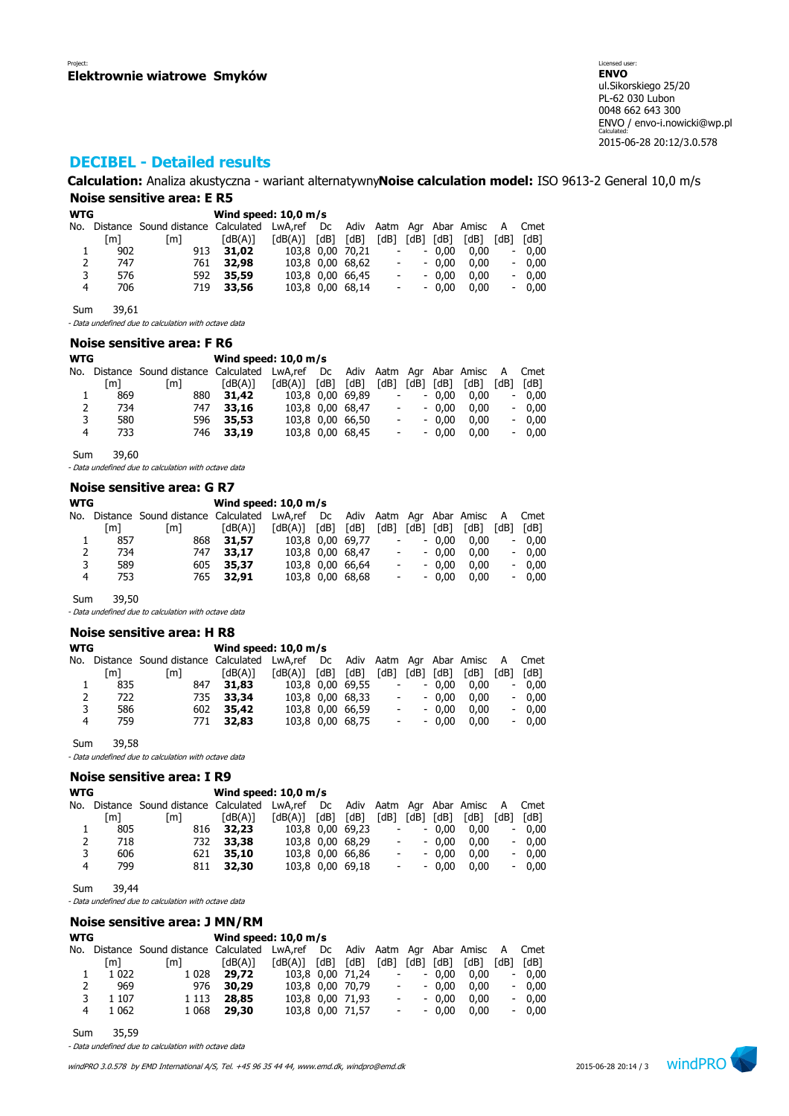# **DECIBEL - Detailed results**

**Calculation:** Analiza akustyczna - wariant alternatywny**Noise calculation model:** ISO 9613-2 General 10,0 m/s **Noise sensitive area: E R5**

| <b>WTG</b> |     |                                                                           | Wind speed: $10.0$ m/s |         |      |                  |                          |      |         |      |                          |         |
|------------|-----|---------------------------------------------------------------------------|------------------------|---------|------|------------------|--------------------------|------|---------|------|--------------------------|---------|
| No.        |     | Distance Sound distance Calculated LwA, ref Dc Adiv Aatm Agr Abar Amisc A |                        |         |      |                  |                          |      |         |      |                          | Cmet    |
|            | [m] | [m]                                                                       | [dB(A)]                | [dB(A)] | [dB] | [dB]             | 'dB1                     | [dB] | [dB]    | [dB] | [dB]                     | [dB]    |
|            | 902 | 913                                                                       | 31,02                  |         |      | 103,8 0,00 70,21 | $\overline{\phantom{a}}$ |      | $-0.00$ | 0.00 | $\overline{\phantom{a}}$ | 0.00    |
| 2          | 747 | 761                                                                       | 32,98                  |         |      | 103,8 0,00 68,62 |                          |      | $-0.00$ | 0.00 |                          | $-0.00$ |
| 3          | 576 | 592                                                                       | 35,59                  |         |      | 103,8 0,00 66,45 | $\overline{\phantom{a}}$ |      | $-0.00$ | 0.00 |                          | $-0.00$ |
| 4          | 706 | 719                                                                       | 33,56                  |         |      | 103,8 0,00 68,14 | $\overline{\phantom{a}}$ |      | $-0.00$ | 0.00 | $\overline{\phantom{0}}$ | 0.00    |

Sum 39,61

- Data undefined due to calculation with octave data

### **Noise sensitive area: F R6**

| <b>WTG</b> |     |                                             | Wind speed: $10,0$ m/s |         |      |                  |                          |      |         |                       |                          |         |
|------------|-----|---------------------------------------------|------------------------|---------|------|------------------|--------------------------|------|---------|-----------------------|--------------------------|---------|
| No.        |     | Distance Sound distance Calculated LwA, ref |                        |         | Dc   | Adiv             |                          |      |         | Aatm Agr Abar Amisc A |                          | Cmet    |
|            | [m] | [m]                                         | [dB(A)]                | [dB(A)] | [dB] | [dB]             | [dB]                     | 「dB1 | [dB]    | [dB]                  | [dB]                     | [dB]    |
|            | 869 | 880                                         | 31,42                  |         |      | 103,8 0,00 69,89 | $\overline{\phantom{0}}$ |      | $-0.00$ | 0.00                  | $\overline{\phantom{0}}$ | 0.00    |
| 2          | 734 | 747                                         | 33,16                  |         |      | 103,8 0,00 68,47 | $\overline{\phantom{a}}$ |      | $-0.00$ | 0.00                  |                          | $-0.00$ |
| 3          | 580 | 596                                         | 35,53                  |         |      | 103,8 0,00 66,50 | $\overline{\phantom{0}}$ |      | $-0.00$ | 0.00                  |                          | $-0.00$ |
| 4          | 733 | 746                                         | 33,19                  |         |      | 103,8 0,00 68,45 | $\overline{\phantom{0}}$ |      | $-0.00$ | 0.00                  |                          | $-0.00$ |

Sum 39,60

- Data undefined due to calculation with octave data

### **Noise sensitive area: G R7**

### **WTG Wind speed: 10,0 m/s**

|   |     | No. Distance Sound-distance Calculated LwA.ref Dc Adiv Aatm Agr Abar Amisc A Cmet |           |                   |                  |                         |            |                                    |         |
|---|-----|-----------------------------------------------------------------------------------|-----------|-------------------|------------------|-------------------------|------------|------------------------------------|---------|
|   | [m] | [m]                                                                               | [dB(A)]   | [dB(A)] [dB] [dB] |                  |                         |            | $[dB]$ $[dB]$ $[dB]$ $[dB]$ $[dB]$ | [dB]    |
|   | 857 | 868                                                                               | 31,57     | 103.8 0.00 69.77  |                  | $\omega_{\rm{max}}$     | $-0.00$    | 0.00                               | $-0.00$ |
| 2 | 734 |                                                                                   | 747 33.17 |                   | 103,8 0,00 68,47 |                         | $- - 0.00$ | 0.00                               | $-0.00$ |
| 3 | 589 |                                                                                   | 605 35,37 |                   | 103,8 0,00 66,64 | $\sim 100$ km s $^{-1}$ | $-0.00$    | 0.00                               | $-0.00$ |
| 4 | 753 |                                                                                   | 765 32,91 |                   | 103,8 0,00 68,68 | <b>All Contracts</b>    | $-0.00$    | 0.00                               | $-0.00$ |

Sum 39,50

- Data undefined due to calculation with octave data

### **Noise sensitive area: H R8**

| <b>WTG</b> |     |                                    |         |            |      |                  |                          |               |         |                            |                          |         |
|------------|-----|------------------------------------|---------|------------|------|------------------|--------------------------|---------------|---------|----------------------------|--------------------------|---------|
| No.        |     | Distance Sound distance Calculated |         | LwA,ref Dc |      |                  |                          |               |         | Adiv Aatm Agr Abar Amisc A |                          | Cmet    |
|            | [m] | [m]                                | [dB(A)] | [dB(A)]    | [dB] | [dB]             | [dB]                     | $[dB]$ $[dB]$ |         | [dB]                       | [dB]                     | [dB]    |
|            | 835 | 847                                | 31,83   |            |      | 103,8 0,00 69,55 | $\overline{\phantom{a}}$ |               | $-0.00$ | 0.00                       | $\overline{\phantom{0}}$ | 0.00    |
| 2          | 722 | 735                                | 33,34   |            |      | 103.8 0.00 68.33 | $\overline{\phantom{a}}$ |               | $-0.00$ | 0.00                       |                          | $-0.00$ |
| 3          | 586 | 602                                | 35,42   |            |      | 103,8 0,00 66,59 | $\overline{\phantom{a}}$ |               | $-0.00$ | 0.00                       |                          | $-0.00$ |
| 4          | 759 | 771                                | 32,83   |            |      | 103,8 0,00 68,75 | $\overline{\phantom{a}}$ |               | $-0.00$ | 0.00                       | $\overline{\phantom{a}}$ | 0.00    |
|            |     |                                    |         |            |      |                  |                          |               |         |                            |                          |         |

Sum 39,58

- Data undefined due to calculation with octave data

#### **Noise sensitive area: I R9**

| <b>WTG</b> |     |                                                                               |           |                       |                  |        |            |         |      |      |         |
|------------|-----|-------------------------------------------------------------------------------|-----------|-----------------------|------------------|--------|------------|---------|------|------|---------|
| No.        |     | Distance Sound distance Calculated LwA,ref Dc Adiv Aatm Agr Abar Amisc A Cmet |           |                       |                  |        |            |         |      |      |         |
|            | [m] | [m]                                                                           | [dB(A)]   | $\lceil dB(A) \rceil$ | [dB] [dB]        | [dB]   | [dB]       | [dB]    | [dB] | [dB] | [dB]    |
|            | 805 |                                                                               | 816 32.23 |                       | 103,8 0,00 69,23 | $\sim$ |            | $-0.00$ | 0.00 |      | $-0.00$ |
| 2          | 718 | 732                                                                           | 33,38     |                       | 103.8 0.00 68.29 |        | $\sim 100$ | $-0.00$ | 0.00 |      | $-0.00$ |
| 3          | 606 |                                                                               | 621 35.10 |                       | 103,8 0,00 66,86 |        | $\sim 100$ | $-0.00$ | 0.00 |      | $-0.00$ |
| 4          | 799 |                                                                               | 811 32.30 |                       | 103,8 0,00 69,18 |        | $\sim 100$ | $-0.00$ | 0.00 |      | $-0.00$ |
|            |     |                                                                               |           |                       |                  |        |            |         |      |      |         |

Sum 39,44

- Data undefined due to calculation with octave data

#### **Noise sensitive area: J MN/RM**

### **WTG Wind speed: 10,0 m/s**

|   |         | No. Distance Sound-distance Calculated LwA,ref Dc Adiv Aatm Agr Abar Amisc A Cmet |              |                                                             |                  |                     |         |                                           |         |
|---|---------|-----------------------------------------------------------------------------------|--------------|-------------------------------------------------------------|------------------|---------------------|---------|-------------------------------------------|---------|
|   | [m]     | [m]                                                                               | [dB(A)]      | $\lceil dB(A) \rceil$ $\lceil dB \rceil$ $\lceil dB \rceil$ |                  |                     |         | $[dB]$ $[dB]$ $[dB]$ $[dB]$ $[dB]$ $[dB]$ |         |
| 1 | 1 0 2 2 | 1 0 2 8                                                                           | 29,72        | 103,8 0,00 71,24 - - 0,00 0,00                              |                  |                     |         |                                           | $-0.00$ |
| 2 | 969     |                                                                                   | 976 30,29    | 103.8 0.00 70.79                                            |                  | $\omega_{\rm{max}}$ | $-0.00$ | 0.00                                      | $-0.00$ |
| 3 | 1 107   |                                                                                   | 1 1 13 28.85 |                                                             | 103,8 0,00 71,93 | $\sim 100$          | $-0.00$ | 0.00                                      | $-0.00$ |
| 4 | 1 0 6 2 |                                                                                   | 1 068 29,30  |                                                             | 103,8 0,00 71,57 | $\sim 100$          |         | $-0.00$ 0.00                              | $-0.00$ |

Sum 35,59

- Data undefined due to calculation with octave data

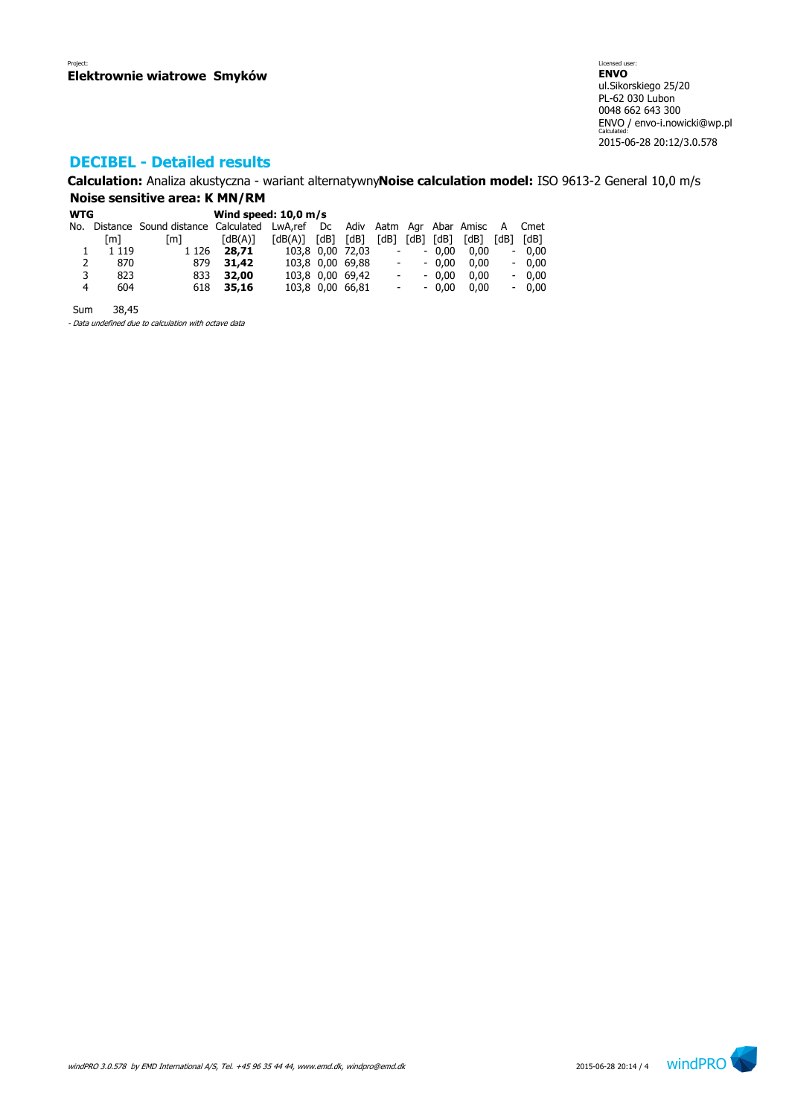# **DECIBEL - Detailed results**

**Calculation:** Analiza akustyczna - wariant alternatywny**Noise calculation model:** ISO 9613-2 General 10,0 m/s **Noise sensitive area: K MN/RM**

| <b>WTG</b> |         |                                                                              |                       |                         |  |                  |                          |           |         |      |      |         |  |
|------------|---------|------------------------------------------------------------------------------|-----------------------|-------------------------|--|------------------|--------------------------|-----------|---------|------|------|---------|--|
|            |         | No. Distance Sound distance Calculated LwA,ref Dc Adiv Aatm Agr Abar Amisc A |                       |                         |  |                  |                          |           |         |      |      | Cmet    |  |
|            | [m]     | [m]                                                                          | $\lceil dB(A) \rceil$ | $[dB(A)]$ $[dB]$ $[dB]$ |  |                  | [dB]                     | [dB] [dB] |         | [dB] | [dB] | [dB]    |  |
|            | 1 1 1 9 | 1 1 2 6                                                                      | 28,71                 |                         |  | 103,8 0,00 72,03 | $\overline{\phantom{a}}$ |           | $-0.00$ | 0.00 | -    | 0.00    |  |
| 2          | 870     | 879                                                                          | 31,42                 |                         |  | 103,8 0,00 69,88 | $\overline{\phantom{a}}$ |           | $-0.00$ | 0.00 |      | $-0.00$ |  |
| 3          | 823     | 833                                                                          | 32,00                 |                         |  | 103,8 0,00 69,42 | $\overline{\phantom{a}}$ |           | $-0.00$ | 0.00 |      | $-0,00$ |  |
| 4          | 604     | 618                                                                          | 35,16                 |                         |  | 103,8 0,00 66,81 | $\overline{\phantom{a}}$ |           | $-0.00$ | 0.00 |      | $-0.00$ |  |
|            |         |                                                                              |                       |                         |  |                  |                          |           |         |      |      |         |  |

Sum 38,45

- Data undefined due to calculation with octave data

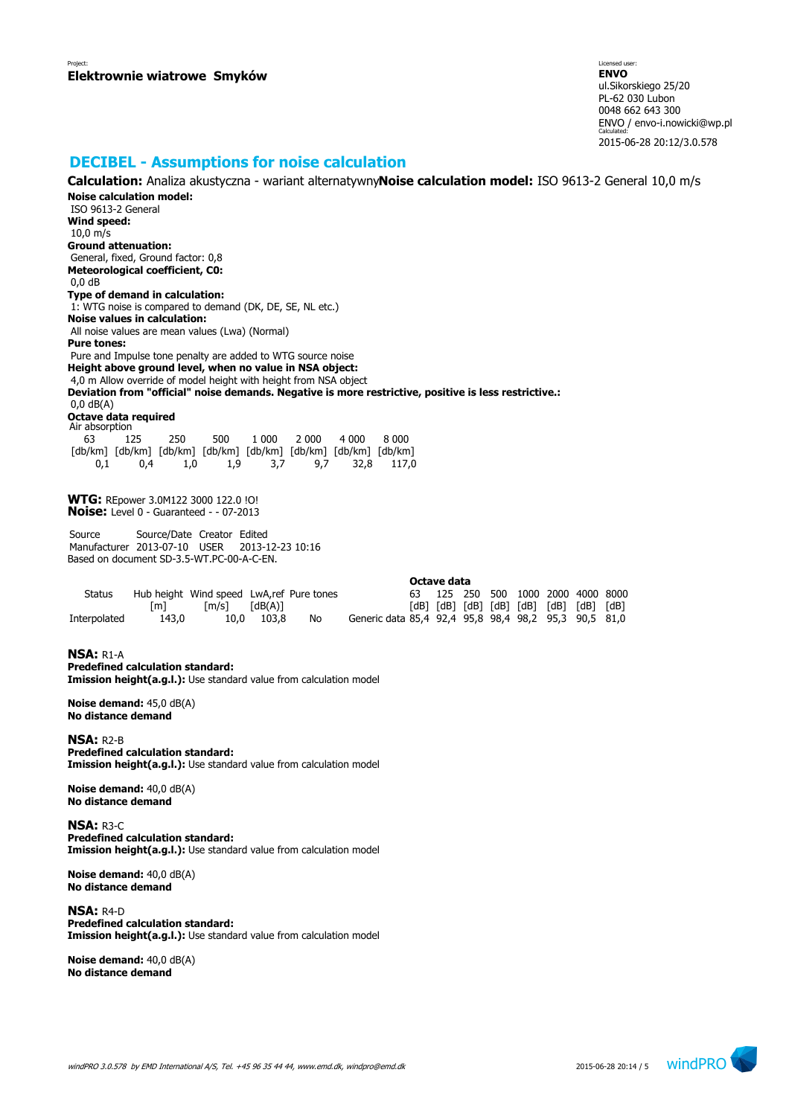## **DECIBEL - Assumptions for noise calculation**

**Noise calculation model:** ISO 9613-2 General **Wind speed:** 10,0 m/s **Ground attenuation:** General, fixed, Ground factor: 0,8 **Meteorological coefficient, C0:** 0,0 dB **Type of demand in calculation:** 1: WTG noise is compared to demand (DK, DE, SE, NL etc.) **Noise values in calculation:** All noise values are mean values (Lwa) (Normal) **Pure tones:** Pure and Impulse tone penalty are added to WTG source noise **Height above ground level, when no value in NSA object:** 4,0 m Allow override of model height with height from NSA object **Deviation from "official" noise demands. Negative is more restrictive, positive is less restrictive.:** 0,0 dB(A) **Octave data required** Air absorption 63 125 250 500 1 000 2 000 4 000 8 000 [db/km] [db/km] [db/km] [db/km] [db/km] [db/km] [db/km] [db/km] 0,1 0,4 1,0 1,9 3,7 9,7 32,8 117,0 **WTG:** REpower 3.0M122 3000 122.0 !O! **Noise:** Level 0 - Guaranteed - - 07-2013 Source Source/Date Creator Edited Manufacturer 2013-07-10 USER 2013-12-23 10:16 Based on document SD-3.5-WT.PC-00-A-C-EN. **Octave data** Status Hub height Wind speed LwA,ref Pure tones<br>
[m] [m/s] [dB(A)]<br>
erpolated 143,0 10,0 103,8 No [m] [m/s] [dB(A)] [dB] [dB] [dB] [dB] [dB] [dB] [dB] [dB] Interpolated 143,0 10,0 103,8 No Generic data 85,4 92,4 95,8 98,4 98,2 95,3 90,5 81,0 **NSA:** R1-A **Predefined calculation standard:** 

**Calculation:** Analiza akustyczna - wariant alternatywny**Noise calculation model:** ISO 9613-2 General 10,0 m/s

**Imission height(a.g.l.):** Use standard value from calculation model

**Noise demand:** 45,0 dB(A) **No distance demand**

**NSA:** R2-B **Predefined calculation standard: Imission height(a.g.l.):** Use standard value from calculation model

**Noise demand:** 40,0 dB(A) **No distance demand**

**NSA:** R3-C **Predefined calculation standard: Imission height(a.g.l.):** Use standard value from calculation model

**Noise demand:** 40,0 dB(A) **No distance demand**

**NSA:** R4-D **Predefined calculation standard: Imission height(a.g.l.):** Use standard value from calculation model

**Noise demand:** 40,0 dB(A) **No distance demand**